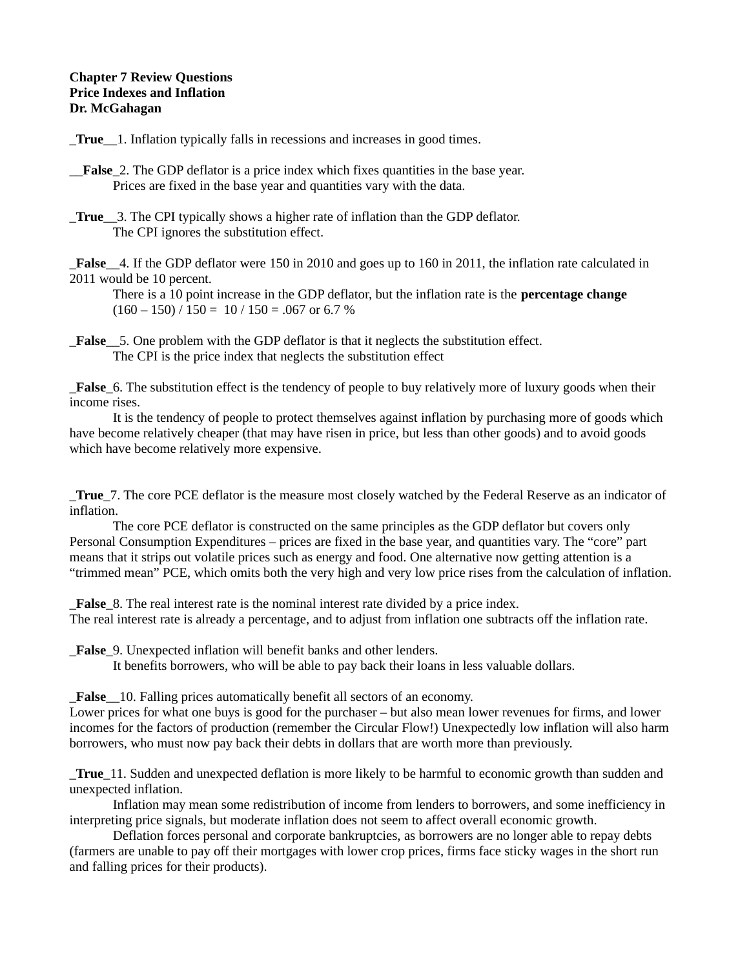## **Chapter 7 Review Questions Price Indexes and Inflation Dr. McGahagan**

\_**True**\_\_1. Inflation typically falls in recessions and increases in good times.

- \_\_**False**\_2. The GDP deflator is a price index which fixes quantities in the base year. Prices are fixed in the base year and quantities vary with the data.
- **True** 3. The CPI typically shows a higher rate of inflation than the GDP deflator. The CPI ignores the substitution effect.

\_**False**\_\_4. If the GDP deflator were 150 in 2010 and goes up to 160 in 2011, the inflation rate calculated in 2011 would be 10 percent.

There is a 10 point increase in the GDP deflator, but the inflation rate is the **percentage change**  $(160 - 150) / 150 = 10 / 150 = .067$  or 6.7 %

**False** 5. One problem with the GDP deflator is that it neglects the substitution effect. The CPI is the price index that neglects the substitution effect

\_**False**\_6. The substitution effect is the tendency of people to buy relatively more of luxury goods when their income rises.

It is the tendency of people to protect themselves against inflation by purchasing more of goods which have become relatively cheaper (that may have risen in price, but less than other goods) and to avoid goods which have become relatively more expensive.

\_**True**\_7. The core PCE deflator is the measure most closely watched by the Federal Reserve as an indicator of inflation.

The core PCE deflator is constructed on the same principles as the GDP deflator but covers only Personal Consumption Expenditures – prices are fixed in the base year, and quantities vary. The "core" part means that it strips out volatile prices such as energy and food. One alternative now getting attention is a "trimmed mean" PCE, which omits both the very high and very low price rises from the calculation of inflation.

**False** 8. The real interest rate is the nominal interest rate divided by a price index. The real interest rate is already a percentage, and to adjust from inflation one subtracts off the inflation rate.

**False** 9. Unexpected inflation will benefit banks and other lenders.

It benefits borrowers, who will be able to pay back their loans in less valuable dollars.

**False** 10. Falling prices automatically benefit all sectors of an economy.

Lower prices for what one buys is good for the purchaser – but also mean lower revenues for firms, and lower incomes for the factors of production (remember the Circular Flow!) Unexpectedly low inflation will also harm borrowers, who must now pay back their debts in dollars that are worth more than previously.

\_**True**\_11. Sudden and unexpected deflation is more likely to be harmful to economic growth than sudden and unexpected inflation.

Inflation may mean some redistribution of income from lenders to borrowers, and some inefficiency in interpreting price signals, but moderate inflation does not seem to affect overall economic growth.

Deflation forces personal and corporate bankruptcies, as borrowers are no longer able to repay debts (farmers are unable to pay off their mortgages with lower crop prices, firms face sticky wages in the short run and falling prices for their products).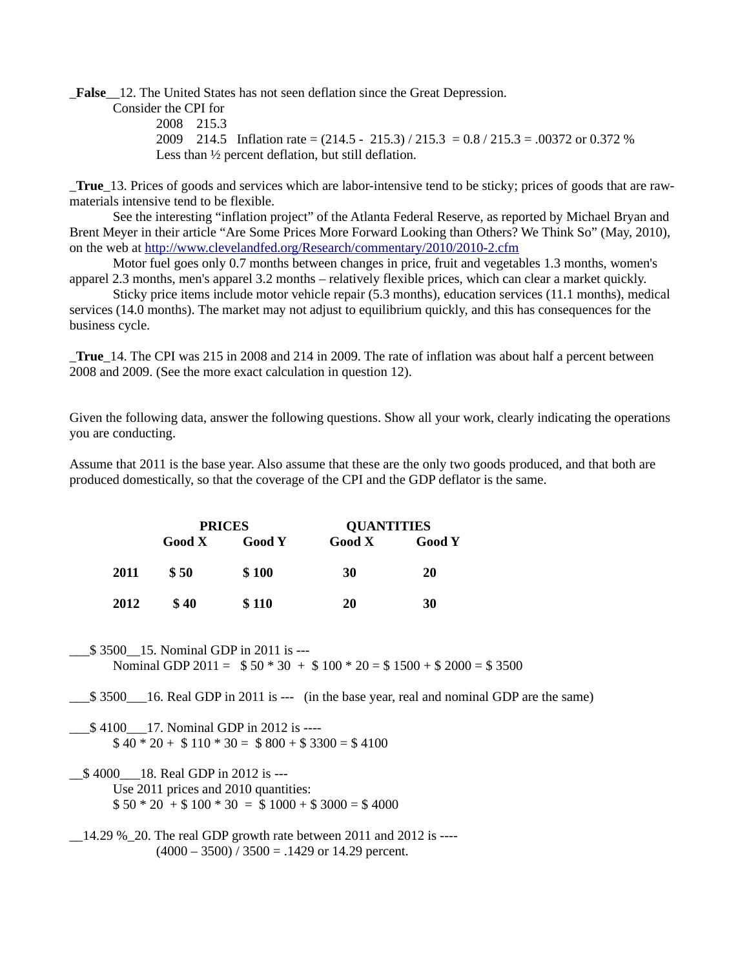\_**False**\_\_12. The United States has not seen deflation since the Great Depression.

Consider the CPI for 2008 215.3 2009 214.5 Inflation rate = (214.5 - 215.3) / 215.3 = 0.8 / 215.3 = .00372 or 0.372 % Less than ½ percent deflation, but still deflation.

\_**True**\_13. Prices of goods and services which are labor-intensive tend to be sticky; prices of goods that are rawmaterials intensive tend to be flexible.

See the interesting "inflation project" of the Atlanta Federal Reserve, as reported by Michael Bryan and Brent Meyer in their article "Are Some Prices More Forward Looking than Others? We Think So" (May, 2010), on the web at<http://www.clevelandfed.org/Research/commentary/2010/2010-2.cfm>

Motor fuel goes only 0.7 months between changes in price, fruit and vegetables 1.3 months, women's apparel 2.3 months, men's apparel 3.2 months – relatively flexible prices, which can clear a market quickly.

Sticky price items include motor vehicle repair (5.3 months), education services (11.1 months), medical services (14.0 months). The market may not adjust to equilibrium quickly, and this has consequences for the business cycle.

\_**True**\_14. The CPI was 215 in 2008 and 214 in 2009. The rate of inflation was about half a percent between 2008 and 2009. (See the more exact calculation in question 12).

Given the following data, answer the following questions. Show all your work, clearly indicating the operations you are conducting.

Assume that 2011 is the base year. Also assume that these are the only two goods produced, and that both are produced domestically, so that the coverage of the CPI and the GDP deflator is the same.

|      | <b>PRICES</b> |               | <b>QUANTITIES</b> |               |
|------|---------------|---------------|-------------------|---------------|
|      | Good X        | <b>Good Y</b> | Good X            | <b>Good Y</b> |
| 2011 | \$ 50         | \$100         | 30                | 20            |
| 2012 | <b>S</b> 40   | \$110         | 20                | 30            |

\_\_\_\$ 3500\_\_15. Nominal GDP in 2011 is --- Nominal GDP 2011 =  $$50 * 30 + $100 * 20 = $1500 + $2000 = $3500$ 

\_\_\_\$ 3500\_\_\_16. Real GDP in 2011 is --- (in the base year, real and nominal GDP are the same)

\_\_\_\$ 4100\_\_\_17. Nominal GDP in 2012 is ----  $$40 * 20 + $110 * 30 = $800 + $3300 = $4100$ 

\_\_\$ 4000\_\_\_18. Real GDP in 2012 is --- Use 2011 prices and 2010 quantities:  $$50 * 20 + $100 * 30 = $1000 + $3000 = $4000$ 

 $\_$ 14.29 % $\_$ 20. The real GDP growth rate between 2011 and 2012 is ---- $(4000 - 3500)$  / 3500 = .1429 or 14.29 percent.